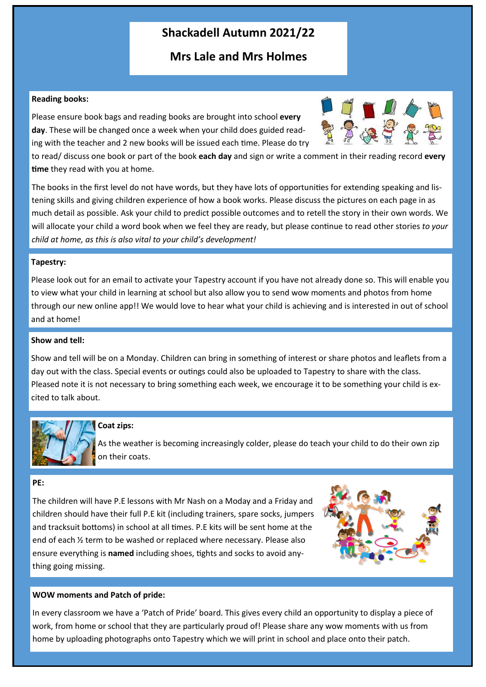# **Shackadell Autumn 2021/22**

## **Mrs Lale and Mrs Holmes**

#### **Reading books:**

Please ensure book bags and reading books are brought into school **every day**. These will be changed once a week when your child does guided reading with the teacher and 2 new books will be issued each time. Please do try



to read/ discuss one book or part of the book **each day** and sign or write a comment in their reading record **every time** they read with you at home.

The books in the first level do not have words, but they have lots of opportunities for extending speaking and listening skills and giving children experience of how a book works. Please discuss the pictures on each page in as much detail as possible. Ask your child to predict possible outcomes and to retell the story in their own words. We will allocate your child a word book when we feel they are ready, but please continue to read other stories *to your child at home, as this is also vital to your child's development!* 

#### **Tapestry:**

Please look out for an email to activate your Tapestry account if you have not already done so. This will enable you to view what your child in learning at school but also allow you to send wow moments and photos from home through our new online app!! We would love to hear what your child is achieving and is interested in out of school and at home!

#### **Show and tell:**

Show and tell will be on a Monday. Children can bring in something of interest or share photos and leaflets from a day out with the class. Special events or outings could also be uploaded to Tapestry to share with the class. Pleased note it is not necessary to bring something each week, we encourage it to be something your child is excited to talk about.

**Coat zips:**

As the weather is becoming increasingly colder, please do teach your child to do their own zip on their coats.

#### **PE:**

The children will have P.E lessons with Mr Nash on a Moday and a Friday and children should have their full P.E kit (including trainers, spare socks, jumpers and tracksuit bottoms) in school at all times. P.E kits will be sent home at the end of each ½ term to be washed or replaced where necessary. Please also ensure everything is **named** including shoes, tights and socks to avoid anything going missing.



#### **WOW moments and Patch of pride:**

In every classroom we have a 'Patch of Pride' board. This gives every child an opportunity to display a piece of work, from home or school that they are particularly proud of! Please share any wow moments with us from home by uploading photographs onto Tapestry which we will print in school and place onto their patch.